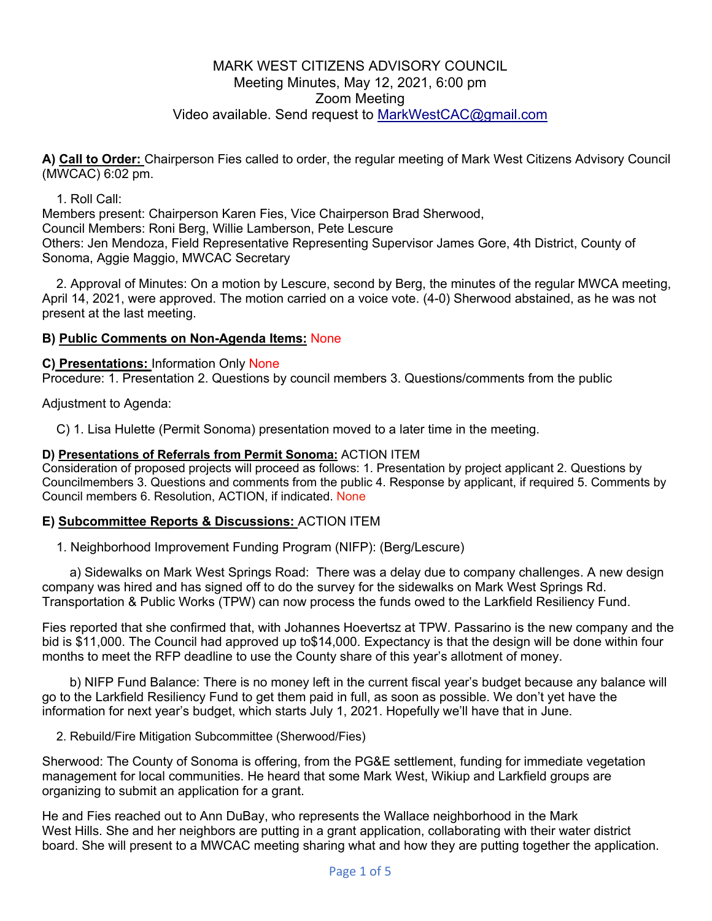# MARK WEST CITIZENS ADVISORY COUNCIL Meeting Minutes, May 12, 2021, 6:00 pm Zoom Meeting Video available. Send request to MarkWestCAC@gmail.com

**A) Call to Order:** Chairperson Fies called to order, the regular meeting of Mark West Citizens Advisory Council (MWCAC) 6:02 pm.

### 1. Roll Call:

Members present: Chairperson Karen Fies, Vice Chairperson Brad Sherwood, Council Members: Roni Berg, Willie Lamberson, Pete Lescure Others: Jen Mendoza, Field Representative Representing Supervisor James Gore, 4th District, County of Sonoma, Aggie Maggio, MWCAC Secretary

2. Approval of Minutes: On a motion by Lescure, second by Berg, the minutes of the regular MWCA meeting, April 14, 2021, were approved. The motion carried on a voice vote. (4-0) Sherwood abstained, as he was not present at the last meeting.

### **B) Public Comments on Non-Agenda Items:** None

**C) Presentations:** Information Only None

Procedure: 1. Presentation 2. Questions by council members 3. Questions/comments from the public

Adjustment to Agenda:

C) 1. Lisa Hulette (Permit Sonoma) presentation moved to a later time in the meeting.

### **D) Presentations of Referrals from Permit Sonoma:** ACTION ITEM

Consideration of proposed projects will proceed as follows: 1. Presentation by project applicant 2. Questions by Councilmembers 3. Questions and comments from the public 4. Response by applicant, if required 5. Comments by Council members 6. Resolution, ACTION, if indicated. None

### **E) Subcommittee Reports & Discussions:** ACTION ITEM

1. Neighborhood Improvement Funding Program (NIFP): (Berg/Lescure)

a) Sidewalks on Mark West Springs Road: There was a delay due to company challenges. A new design company was hired and has signed off to do the survey for the sidewalks on Mark West Springs Rd. Transportation & Public Works (TPW) can now process the funds owed to the Larkfield Resiliency Fund.

Fies reported that she confirmed that, with Johannes Hoevertsz at TPW. Passarino is the new company and the bid is \$11,000. The Council had approved up to\$14,000. Expectancy is that the design will be done within four months to meet the RFP deadline to use the County share of this year's allotment of money.

b) NIFP Fund Balance: There is no money left in the current fiscal year's budget because any balance will go to the Larkfield Resiliency Fund to get them paid in full, as soon as possible. We don't yet have the information for next year's budget, which starts July 1, 2021. Hopefully we'll have that in June.

2. Rebuild/Fire Mitigation Subcommittee (Sherwood/Fies)

Sherwood: The County of Sonoma is offering, from the PG&E settlement, funding for immediate vegetation management for local communities. He heard that some Mark West, Wikiup and Larkfield groups are organizing to submit an application for a grant.

He and Fies reached out to Ann DuBay, who represents the Wallace neighborhood in the Mark West Hills. She and her neighbors are putting in a grant application, collaborating with their water district board. She will present to a MWCAC meeting sharing what and how they are putting together the application.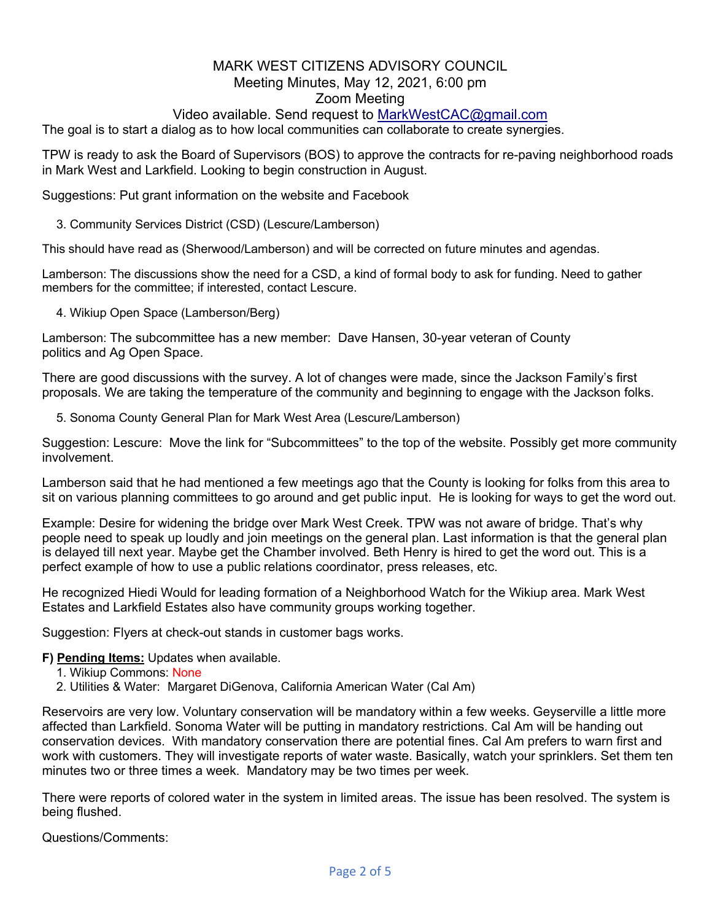## Video available. Send request to MarkWestCAC@gmail.com

The goal is to start a dialog as to how local communities can collaborate to create synergies.

TPW is ready to ask the Board of Supervisors (BOS) to approve the contracts for re-paving neighborhood roads in Mark West and Larkfield. Looking to begin construction in August.

Suggestions: Put grant information on the website and Facebook

3. Community Services District (CSD) (Lescure/Lamberson)

This should have read as (Sherwood/Lamberson) and will be corrected on future minutes and agendas.

Lamberson: The discussions show the need for a CSD, a kind of formal body to ask for funding. Need to gather members for the committee; if interested, contact Lescure.

4. Wikiup Open Space (Lamberson/Berg)

Lamberson: The subcommittee has a new member: Dave Hansen, 30-year veteran of County politics and Ag Open Space.

There are good discussions with the survey. A lot of changes were made, since the Jackson Family's first proposals. We are taking the temperature of the community and beginning to engage with the Jackson folks.

5. Sonoma County General Plan for Mark West Area (Lescure/Lamberson)

Suggestion: Lescure: Move the link for "Subcommittees" to the top of the website. Possibly get more community involvement.

Lamberson said that he had mentioned a few meetings ago that the County is looking for folks from this area to sit on various planning committees to go around and get public input. He is looking for ways to get the word out.

Example: Desire for widening the bridge over Mark West Creek. TPW was not aware of bridge. That's why people need to speak up loudly and join meetings on the general plan. Last information is that the general plan is delayed till next year. Maybe get the Chamber involved. Beth Henry is hired to get the word out. This is a perfect example of how to use a public relations coordinator, press releases, etc.

He recognized Hiedi Would for leading formation of a Neighborhood Watch for the Wikiup area. Mark West Estates and Larkfield Estates also have community groups working together.

Suggestion: Flyers at check-out stands in customer bags works.

**F) Pending Items:** Updates when available.

- 1. Wikiup Commons: None
- 2. Utilities & Water: Margaret DiGenova, California American Water (Cal Am)

Reservoirs are very low. Voluntary conservation will be mandatory within a few weeks. Geyserville a little more affected than Larkfield. Sonoma Water will be putting in mandatory restrictions. Cal Am will be handing out conservation devices. With mandatory conservation there are potential fines. Cal Am prefers to warn first and work with customers. They will investigate reports of water waste. Basically, watch your sprinklers. Set them ten minutes two or three times a week. Mandatory may be two times per week.

There were reports of colored water in the system in limited areas. The issue has been resolved. The system is being flushed.

Questions/Comments: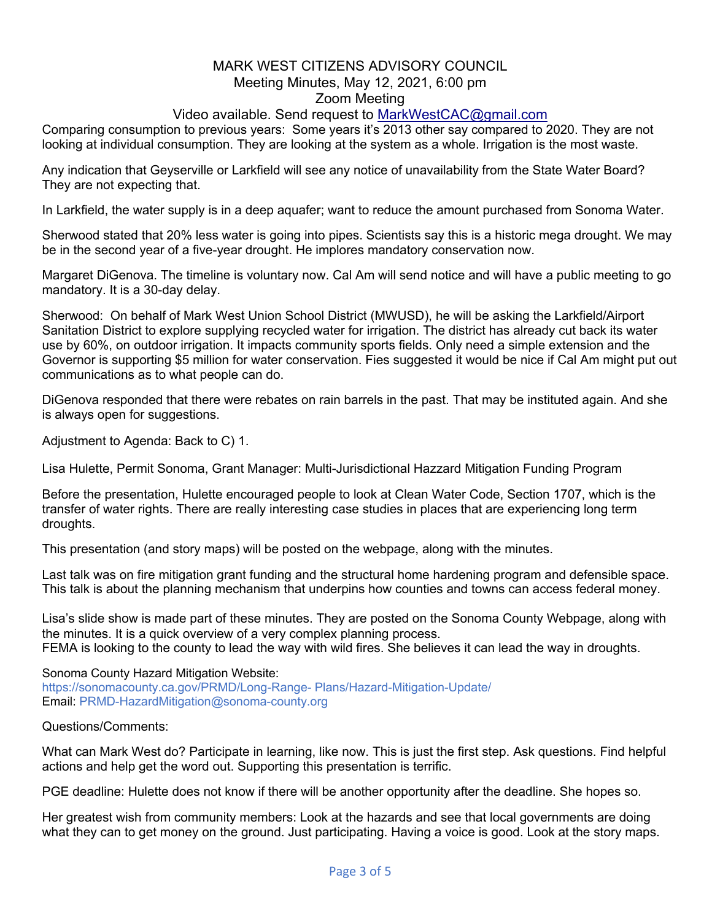## Video available. Send request to MarkWestCAC@gmail.com

Comparing consumption to previous years: Some years it's 2013 other say compared to 2020. They are not looking at individual consumption. They are looking at the system as a whole. Irrigation is the most waste.

Any indication that Geyserville or Larkfield will see any notice of unavailability from the State Water Board? They are not expecting that.

In Larkfield, the water supply is in a deep aquafer; want to reduce the amount purchased from Sonoma Water.

Sherwood stated that 20% less water is going into pipes. Scientists say this is a historic mega drought. We may be in the second year of a five-year drought. He implores mandatory conservation now.

Margaret DiGenova. The timeline is voluntary now. Cal Am will send notice and will have a public meeting to go mandatory. It is a 30-day delay.

Sherwood: On behalf of Mark West Union School District (MWUSD), he will be asking the Larkfield/Airport Sanitation District to explore supplying recycled water for irrigation. The district has already cut back its water use by 60%, on outdoor irrigation. It impacts community sports fields. Only need a simple extension and the Governor is supporting \$5 million for water conservation. Fies suggested it would be nice if Cal Am might put out communications as to what people can do.

DiGenova responded that there were rebates on rain barrels in the past. That may be instituted again. And she is always open for suggestions.

Adjustment to Agenda: Back to C) 1.

Lisa Hulette, Permit Sonoma, Grant Manager: Multi-Jurisdictional Hazzard Mitigation Funding Program

Before the presentation, Hulette encouraged people to look at Clean Water Code, Section 1707, which is the transfer of water rights. There are really interesting case studies in places that are experiencing long term droughts.

This presentation (and story maps) will be posted on the webpage, along with the minutes.

Last talk was on fire mitigation grant funding and the structural home hardening program and defensible space. This talk is about the planning mechanism that underpins how counties and towns can access federal money.

Lisa's slide show is made part of these minutes. They are posted on the Sonoma County Webpage, along with the minutes. It is a quick overview of a very complex planning process. FEMA is looking to the county to lead the way with wild fires. She believes it can lead the way in droughts.

Sonoma County Hazard Mitigation Website: https://sonomacounty.ca.gov/PRMD/Long-Range- Plans/Hazard-Mitigation-Update/ Email: PRMD-HazardMitigation@sonoma-county.org

Questions/Comments:

What can Mark West do? Participate in learning, like now. This is just the first step. Ask questions. Find helpful actions and help get the word out. Supporting this presentation is terrific.

PGE deadline: Hulette does not know if there will be another opportunity after the deadline. She hopes so.

Her greatest wish from community members: Look at the hazards and see that local governments are doing what they can to get money on the ground. Just participating. Having a voice is good. Look at the story maps.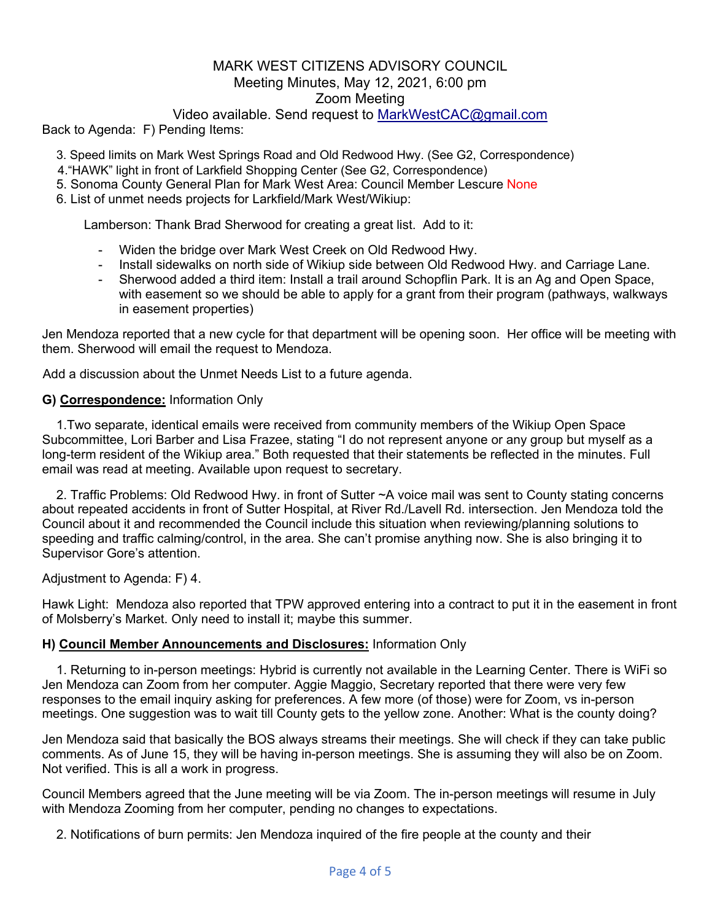### Video available. Send request to MarkWestCAC@gmail.com

Back to Agenda: F) Pending Items:

- 3. Speed limits on Mark West Springs Road and Old Redwood Hwy. (See G2, Correspondence)
- 4."HAWK" light in front of Larkfield Shopping Center (See G2, Correspondence)
- 5. Sonoma County General Plan for Mark West Area: Council Member Lescure None
- 6. List of unmet needs projects for Larkfield/Mark West/Wikiup:

Lamberson: Thank Brad Sherwood for creating a great list. Add to it:

- Widen the bridge over Mark West Creek on Old Redwood Hwy.
- Install sidewalks on north side of Wikiup side between Old Redwood Hwy. and Carriage Lane.
- Sherwood added a third item: Install a trail around Schopflin Park. It is an Ag and Open Space, with easement so we should be able to apply for a grant from their program (pathways, walkways in easement properties)

Jen Mendoza reported that a new cycle for that department will be opening soon. Her office will be meeting with them. Sherwood will email the request to Mendoza.

Add a discussion about the Unmet Needs List to a future agenda.

#### **G) Correspondence:** Information Only

1.Two separate, identical emails were received from community members of the Wikiup Open Space Subcommittee, Lori Barber and Lisa Frazee, stating "I do not represent anyone or any group but myself as a long-term resident of the Wikiup area." Both requested that their statements be reflected in the minutes. Full email was read at meeting. Available upon request to secretary.

2. Traffic Problems: Old Redwood Hwy. in front of Sutter ~A voice mail was sent to County stating concerns about repeated accidents in front of Sutter Hospital, at River Rd./Lavell Rd. intersection. Jen Mendoza told the Council about it and recommended the Council include this situation when reviewing/planning solutions to speeding and traffic calming/control, in the area. She can't promise anything now. She is also bringing it to Supervisor Gore's attention.

Adjustment to Agenda: F) 4.

Hawk Light: Mendoza also reported that TPW approved entering into a contract to put it in the easement in front of Molsberry's Market. Only need to install it; maybe this summer.

#### **H) Council Member Announcements and Disclosures:** Information Only

1. Returning to in-person meetings: Hybrid is currently not available in the Learning Center. There is WiFi so Jen Mendoza can Zoom from her computer. Aggie Maggio, Secretary reported that there were very few responses to the email inquiry asking for preferences. A few more (of those) were for Zoom, vs in-person meetings. One suggestion was to wait till County gets to the yellow zone. Another: What is the county doing?

Jen Mendoza said that basically the BOS always streams their meetings. She will check if they can take public comments. As of June 15, they will be having in-person meetings. She is assuming they will also be on Zoom. Not verified. This is all a work in progress.

Council Members agreed that the June meeting will be via Zoom. The in-person meetings will resume in July with Mendoza Zooming from her computer, pending no changes to expectations.

2. Notifications of burn permits: Jen Mendoza inquired of the fire people at the county and their